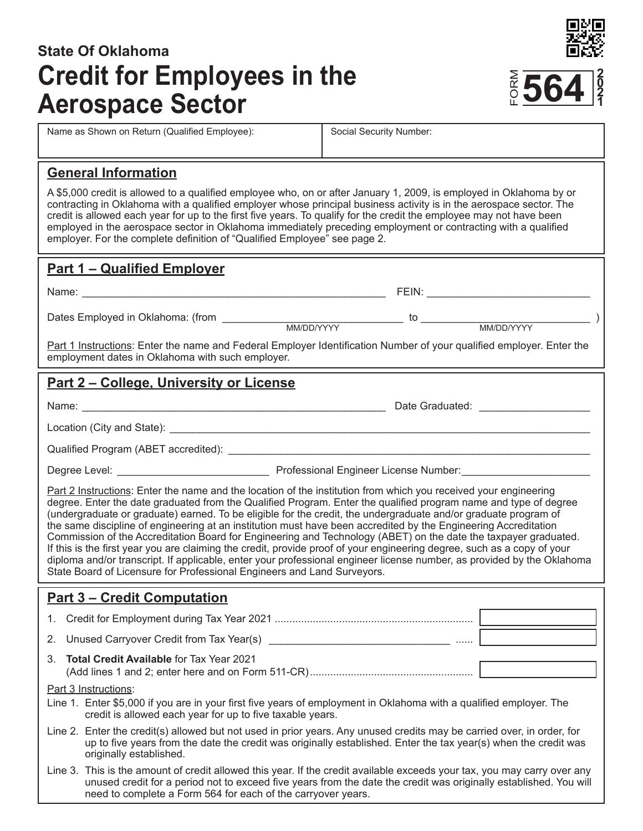# **State Of Oklahoma Credit for Employees in the Aerospace Sector**

 $\frac{2}{6}$ **5 0 2 1**

Name as Shown on Return (Qualified Employee): Social Security Number:

#### **General Information**

A \$5,000 credit is allowed to a qualified employee who, on or after January 1, 2009, is employed in Oklahoma by or contracting in Oklahoma with a qualified employer whose principal business activity is in the aerospace sector. The credit is allowed each year for up to the first five years. To qualify for the credit the employee may not have been employed in the aerospace sector in Oklahoma immediately preceding employment or contracting with a qualified employer. For the complete definition of "Qualified Employee" see page 2.

## **Part 1 – Qualified Employer**

Name: \_\_\_\_\_\_\_\_\_\_\_\_\_\_\_\_\_\_\_\_\_\_\_\_\_\_\_\_\_\_\_\_\_\_\_\_\_\_\_\_\_\_\_\_\_\_\_\_\_\_\_\_ FEIN: \_\_\_\_\_\_\_\_\_\_\_\_\_\_\_\_\_\_\_\_\_\_\_\_\_\_\_\_ Dates Employed in Oklahoma: (from \_\_\_\_\_\_\_\_\_\_\_\_\_\_\_\_\_\_\_\_\_\_\_\_\_\_\_\_\_\_\_ to \_\_\_\_\_\_\_\_\_\_\_\_\_\_\_\_\_\_\_\_\_\_\_\_\_\_\_\_\_ ) MM/DD/YYYY MM/DD/YYYY Part 1 Instructions: Enter the name and Federal Employer Identification Number of your qualified employer. Enter the employment dates in Oklahoma with such employer.

## **Part 2 – College, University or License**

Name: \_\_\_\_\_\_\_\_\_\_\_\_\_\_\_\_\_\_\_\_\_\_\_\_\_\_\_\_\_\_\_\_\_\_\_\_\_\_\_\_\_\_\_\_\_\_\_\_\_\_\_\_ Date Graduated: \_\_\_\_\_\_\_\_\_\_\_\_\_\_\_\_\_\_\_

Location (City and State): **Location** 

Qualified Program (ABET accredited):  $\blacksquare$ 

Degree Level: \_\_\_\_\_\_\_\_\_\_\_\_\_\_\_\_\_\_\_\_\_\_\_\_\_\_ Professional Engineer License Number:\_\_\_\_\_\_\_\_\_\_\_\_\_\_\_\_\_\_\_\_\_\_

Part 2 Instructions: Enter the name and the location of the institution from which you received your engineering degree. Enter the date graduated from the Qualified Program. Enter the qualified program name and type of degree (undergraduate or graduate) earned. To be eligible for the credit, the undergraduate and/or graduate program of the same discipline of engineering at an institution must have been accredited by the Engineering Accreditation Commission of the Accreditation Board for Engineering and Technology (ABET) on the date the taxpayer graduated. If this is the first year you are claiming the credit, provide proof of your engineering degree, such as a copy of your diploma and/or transcript. If applicable, enter your professional engineer license number, as provided by the Oklahoma State Board of Licensure for Professional Engineers and Land Surveyors.

## **Part 3 – Credit Computation**

1. Credit for Employment during Tax Year 2021 .................................................................... 2. Unused Carryover Credit from Tax Year(s) \_\_\_\_\_\_\_\_\_\_\_\_\_\_\_\_\_\_\_\_\_\_\_\_\_\_\_\_\_\_\_ ...... 3. **Total Credit Available** for Tax Year 2021 (Add lines 1 and 2; enter here and on Form 511-CR)........................................................ Part 3 Instructions: Line 1. Enter \$5,000 if you are in your first five years of employment in Oklahoma with a qualified employer. The credit is allowed each year for up to five taxable years. Line 2. Enter the credit(s) allowed but not used in prior years. Any unused credits may be carried over, in order, for up to five years from the date the credit was originally established. Enter the tax year(s) when the credit was originally established.

Line 3. This is the amount of credit allowed this year. If the credit available exceeds your tax, you may carry over any unused credit for a period not to exceed five years from the date the credit was originally established. You will need to complete a Form 564 for each of the carryover years.